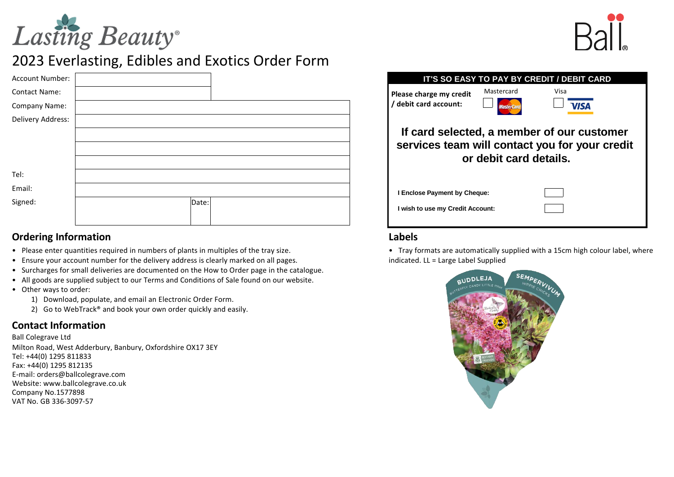



# 2023 Everlasting, Edibles and Exotics Order Form

| Account Number:      |       |  |
|----------------------|-------|--|
| <b>Contact Name:</b> |       |  |
| Company Name:        |       |  |
| Delivery Address:    |       |  |
|                      |       |  |
|                      |       |  |
|                      |       |  |
| Tel:                 |       |  |
| Email:               |       |  |
| Signed:              | Date: |  |
|                      |       |  |

#### **Ordering Information**

- Please enter quantities required in numbers of plants in multiples of the tray size.
- Ensure your account number for the delivery address is clearly marked on all pages.
- Surcharges for small deliveries are documented on the How to Order page in the catalogue.
- All goods are supplied subject to our Terms and Conditions of Sale found on our website.
- Other ways to order:
	- 1) Download, populate, and email an Electronic Order Form.
	- 2) Go to WebTrack® and book your own order quickly and easily.

## **Contact Information**

Ball Colegrave Ltd Milton Road, West Adderbury, Banbury, Oxfordshire OX17 3EY E-mail: orders@ballcolegrave.com Website: www.ballcolegrave.co.uk Fax: +44(0) 1295 812135 Tel: +44(0) 1295 811833 Company No.1577898 VAT No. GB 336-3097-57

|                                                                                                                        |                                 | IT'S SO EASY TO PAY BY CREDIT / DEBIT CARD |  |  |  |  |  |  |  |  |  |
|------------------------------------------------------------------------------------------------------------------------|---------------------------------|--------------------------------------------|--|--|--|--|--|--|--|--|--|
| Please charge my credit<br>/ debit card account:                                                                       | Mastercard<br><b>MasterCard</b> | Visa<br>/ISA                               |  |  |  |  |  |  |  |  |  |
| If card selected, a member of our customer<br>services team will contact you for your credit<br>or debit card details. |                                 |                                            |  |  |  |  |  |  |  |  |  |
| I Enclose Payment by Cheque:                                                                                           |                                 |                                            |  |  |  |  |  |  |  |  |  |
| I wish to use my Credit Account:                                                                                       |                                 |                                            |  |  |  |  |  |  |  |  |  |
| Labels                                                                                                                 |                                 |                                            |  |  |  |  |  |  |  |  |  |

• Tray formats are automatically supplied with a 15cm high colour label, where indicated. LL = Large Label Supplied

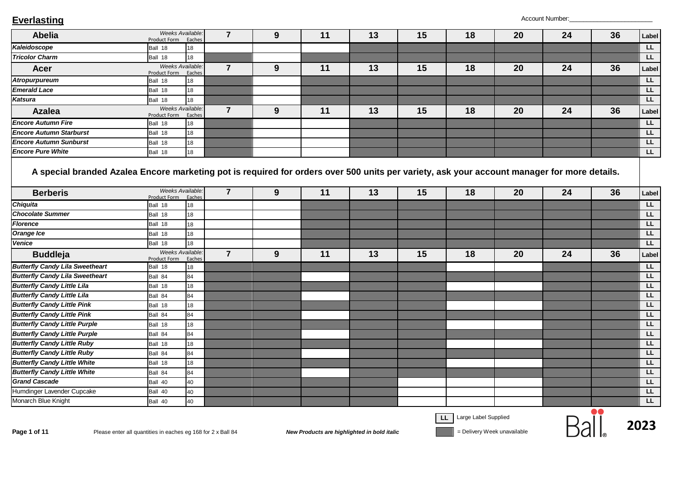| <b>Abelia</b>                                                                                                                                                  | Product Form                                                 | Weeks Available:<br>Eaches | $\overline{7}$ | 9 | 11 | 13                                          | 15 | 18                          | 20                          | 24 | 36 | Label     |
|----------------------------------------------------------------------------------------------------------------------------------------------------------------|--------------------------------------------------------------|----------------------------|----------------|---|----|---------------------------------------------|----|-----------------------------|-----------------------------|----|----|-----------|
| Kaleidoscope                                                                                                                                                   | Ball 18                                                      | 18                         |                |   |    |                                             |    |                             |                             |    |    | LL.       |
| <b>Tricolor Charm</b>                                                                                                                                          | Ball 18                                                      | 18                         |                |   |    |                                             |    |                             |                             |    |    | LL.       |
| <b>Acer</b>                                                                                                                                                    | Product Form                                                 | Weeks Available.<br>Eaches | $\overline{7}$ | 9 | 11 | 13                                          | 15 | 18                          | 20                          | 24 | 36 | Label     |
| <b>Atropurpureum</b>                                                                                                                                           | Ball 18                                                      | 18                         |                |   |    |                                             |    |                             |                             |    |    | LL.       |
| <b>Emerald Lace</b>                                                                                                                                            | Ball 18                                                      | 18                         |                |   |    |                                             |    |                             |                             |    |    | LL.       |
| Katsura                                                                                                                                                        | Ball 18                                                      | 18                         |                |   |    |                                             |    |                             |                             |    |    | LL.       |
| <b>Azalea</b>                                                                                                                                                  | Product Form                                                 | Weeks Available:<br>Eaches | $\overline{7}$ | 9 | 11 | 13                                          | 15 | 18                          | 20                          | 24 | 36 | Label     |
| <b>Encore Autumn Fire</b>                                                                                                                                      | Ball 18                                                      | 18                         |                |   |    |                                             |    |                             |                             |    |    | LL.       |
| <b>Encore Autumn Starburst</b>                                                                                                                                 | Ball 18                                                      | 18                         |                |   |    |                                             |    |                             |                             |    |    | LL.       |
| <b>Encore Autumn Sunburst</b>                                                                                                                                  | Ball 18                                                      | 18                         |                |   |    |                                             |    |                             |                             |    |    | L         |
| <b>Encore Pure White</b>                                                                                                                                       | Ball 18                                                      | 18                         |                |   |    |                                             |    |                             |                             |    |    | LL.       |
| A special branded Azalea Encore marketing pot is required for orders over 500 units per variety, ask your account manager for more details.<br><b>Berberis</b> | Product Form                                                 | Weeks Available:<br>Eaches | $\overline{7}$ | 9 | 11 | 13                                          | 15 | 18                          | 20                          | 24 | 36 | Label     |
| <b>Chiquita</b>                                                                                                                                                | Ball 18                                                      | 18                         |                |   |    |                                             |    |                             |                             |    |    | LL.       |
| <b>Chocolate Summer</b>                                                                                                                                        | Ball 18                                                      | 18                         |                |   |    |                                             |    |                             |                             |    |    | LL.       |
| <b>Florence</b>                                                                                                                                                | Ball 18                                                      | 18                         |                |   |    |                                             |    |                             |                             |    |    | <b>LL</b> |
| <b>Orange Ice</b>                                                                                                                                              | Ball 18                                                      | 18                         |                |   |    |                                             |    |                             |                             |    |    | L         |
| Venice                                                                                                                                                         | Ball 18                                                      | 18                         |                |   |    |                                             |    |                             |                             |    |    | LL.       |
| <b>Buddleja</b>                                                                                                                                                | Product Form                                                 | Weeks Available.<br>Eaches | $\overline{7}$ | 9 | 11 | 13                                          | 15 | 18                          | 20                          | 24 | 36 | Label     |
| <b>Butterfly Candy Lila Sweetheart</b>                                                                                                                         | Ball 18                                                      | 18                         |                |   |    |                                             |    |                             |                             |    |    | LL.       |
| <b>Butterfly Candy Lila Sweetheart</b>                                                                                                                         | Ball 84                                                      | 84                         |                |   |    |                                             |    |                             |                             |    |    | <b>LL</b> |
| <b>Butterfly Candy Little Lila</b>                                                                                                                             | Ball 18                                                      | 18                         |                |   |    |                                             |    |                             |                             |    |    | LL        |
| <b>Butterfly Candy Little Lila</b>                                                                                                                             | Ball 84                                                      | 84                         |                |   |    |                                             |    |                             |                             |    |    | L         |
| <b>Butterfly Candy Little Pink</b>                                                                                                                             | Ball 18                                                      | 18                         |                |   |    |                                             |    |                             |                             |    |    | LL.       |
| <b>Butterfly Candy Little Pink</b>                                                                                                                             | Ball 84                                                      | 84                         |                |   |    |                                             |    |                             |                             |    |    | LL        |
| <b>Butterfly Candy Little Purple</b>                                                                                                                           | Ball 18                                                      | 18                         |                |   |    |                                             |    |                             |                             |    |    | <b>LL</b> |
| <b>Butterfly Candy Little Purple</b>                                                                                                                           | Ball 84                                                      | 84                         |                |   |    |                                             |    |                             |                             |    |    | L         |
| <b>Butterfly Candy Little Ruby</b>                                                                                                                             | Ball 18                                                      | 18                         |                |   |    |                                             |    |                             |                             |    |    | <b>LL</b> |
| <b>Butterfly Candy Little Ruby</b>                                                                                                                             | Ball 84                                                      | 84                         |                |   |    |                                             |    |                             |                             |    |    | LL.       |
| <b>Butterfly Candy Little White</b>                                                                                                                            | Ball 18                                                      | 18                         |                |   |    |                                             |    |                             |                             |    |    | <b>LL</b> |
| <b>Butterfly Candy Little White</b>                                                                                                                            | Ball 84                                                      | 84                         |                |   |    |                                             |    |                             |                             |    |    | <b>LL</b> |
| <b>Grand Cascade</b>                                                                                                                                           | Ball 40                                                      | 40                         |                |   |    |                                             |    |                             |                             |    |    | LL.       |
| Humdinger Lavender Cupcake                                                                                                                                     | Ball 40                                                      | 40                         |                |   |    |                                             |    |                             |                             |    |    | LL.       |
| Monarch Blue Knight                                                                                                                                            | Ball 40                                                      | 40                         |                |   |    |                                             |    |                             |                             |    |    | LL.       |
| Page 1 of 11                                                                                                                                                   | Please enter all quantities in eaches eg 168 for 2 x Ball 84 |                            |                |   |    | New Products are highlighted in bold italic |    | Large Label Supplied<br>LL. | = Delivery Week unavailable |    |    | 2023      |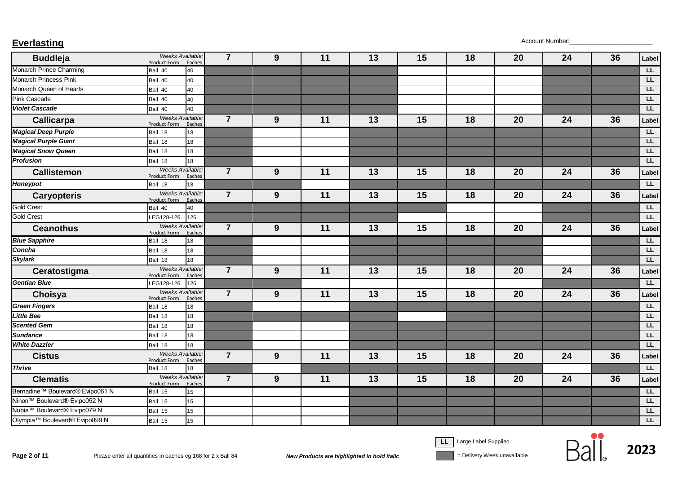| <b>Buddleja</b>                          | Weeks Available:<br>Product Form       | Eaches | $\overline{7}$ | $9$ | 11 | 13 | 15 | 18 | 20 | 24 | 36 | Label          |
|------------------------------------------|----------------------------------------|--------|----------------|-----|----|----|----|----|----|----|----|----------------|
| Monarch Prince Charming                  | Ball 40                                | 40     |                |     |    |    |    |    |    |    |    | LL.            |
| <b>Monarch Princess Pink</b>             | Ball 40                                | 40     |                |     |    |    |    |    |    |    |    | <b>LL</b>      |
| Monarch Queen of Hearts                  | Ball 40                                | 40     |                |     |    |    |    |    |    |    |    | <b>LL</b>      |
| Pink Cascade                             | Ball 40                                | 40     |                |     |    |    |    |    |    |    |    | LL.            |
| <b>Violet Cascade</b>                    | Ball 40                                | 40     |                |     |    |    |    |    |    |    |    | LL.            |
| <b>Callicarpa</b>                        | Weeks Available.<br>Product Form       | Eaches | $\overline{7}$ | 9   | 11 | 13 | 15 | 18 | 20 | 24 | 36 | Label          |
| <b>Magical Deep Purple</b>               | Ball 18                                | 18     |                |     |    |    |    |    |    |    |    | L              |
| <b>Magical Purple Giant</b>              | Ball 18                                | 18     |                |     |    |    |    |    |    |    |    | LL.            |
| <b>Magical Snow Queen</b>                | Ball 18                                | 18     |                |     |    |    |    |    |    |    |    | LL.            |
| <b>Profusion</b>                         | Ball 18                                | 18     |                |     |    |    |    |    |    |    |    | L              |
| <b>Callistemon</b>                       | <b>Weeks Available</b><br>Product Form | Eaches | $\overline{7}$ | 9   | 11 | 13 | 15 | 18 | 20 | 24 | 36 | Label          |
| Honeypot                                 | Ball 18                                | 18     |                |     |    |    |    |    |    |    |    | LL             |
| <b>Caryopteris</b>                       | <b>Weeks Available</b><br>Product Form | Eaches | $\overline{7}$ | 9   | 11 | 13 | 15 | 18 | 20 | 24 | 36 | Label          |
| <b>Gold Crest</b>                        | Ball 40                                | 40     |                |     |    |    |    |    |    |    |    | L              |
| <b>Gold Crest</b>                        | LEG128-126                             | 126    |                |     |    |    |    |    |    |    |    | LL.            |
| <b>Ceanothus</b>                         | <b>Weeks Available</b><br>Product Form | Eaches | $\overline{7}$ | 9   | 11 | 13 | 15 | 18 | 20 | 24 | 36 | Label          |
| <b>Blue Sapphire</b>                     | Ball 18                                | 18     |                |     |    |    |    |    |    |    |    | $\overline{L}$ |
| Concha                                   | Ball 18                                | 18     |                |     |    |    |    |    |    |    |    | L              |
| <b>Skylark</b>                           | Ball 18                                | 18     |                |     |    |    |    |    |    |    |    | L              |
| Ceratostigma                             | Weeks Available.<br>Product Form       | Eaches | $\overline{7}$ | 9   | 11 | 13 | 15 | 18 | 20 | 24 | 36 | Label          |
| <b>Gentian Blue</b>                      | LEG128-126                             | 126    |                |     |    |    |    |    |    |    |    | L              |
| Choisya                                  | Weeks Available.<br>Product Form       | Eaches | $\overline{7}$ | 9   | 11 | 13 | 15 | 18 | 20 | 24 | 36 | Label          |
| <b>Green Fingers</b>                     | Ball 18                                | 18     |                |     |    |    |    |    |    |    |    | E              |
| <b>Little Bee</b>                        | Ball 18                                | 18     |                |     |    |    |    |    |    |    |    | L              |
| <b>Scented Gem</b>                       | Ball 18                                | 18     |                |     |    |    |    |    |    |    |    | LL             |
| <b>Sundance</b>                          | Ball 18                                | 18     |                |     |    |    |    |    |    |    |    | E              |
| <b>White Dazzler</b>                     | Ball 18                                | 18     |                |     |    |    |    |    |    |    |    | L              |
| <b>Cistus</b>                            | <b>Weeks Available</b><br>Product Form | Eaches | $\overline{7}$ | 9   | 11 | 13 | 15 | 18 | 20 | 24 | 36 | Label          |
| <b>Thrive</b>                            | Ball 18                                | 18     |                |     |    |    |    |    |    |    |    | L              |
| <b>Clematis</b>                          | <b>Weeks Available</b><br>Product Form | Eaches | $\overline{7}$ | 9   | 11 | 13 | 15 | 18 | 20 | 24 | 36 | Label          |
| Bernadine™ Boulevard® Evipo061 N         | Ball 15                                | 15     |                |     |    |    |    |    |    |    |    | L              |
| Ninon <sup>™</sup> Boulevard® Evipo052 N | Ball 15                                | 15     |                |     |    |    |    |    |    |    |    | LL.            |
| Nubia™ Boulevard® Evipo079 N             | Ball 15                                | 15     |                |     |    |    |    |    |    |    |    | <b>LL</b>      |
| Olympia™ Boulevard® Evipo099 N           | Ball 15                                | 15     |                |     |    |    |    |    |    |    |    | LL.            |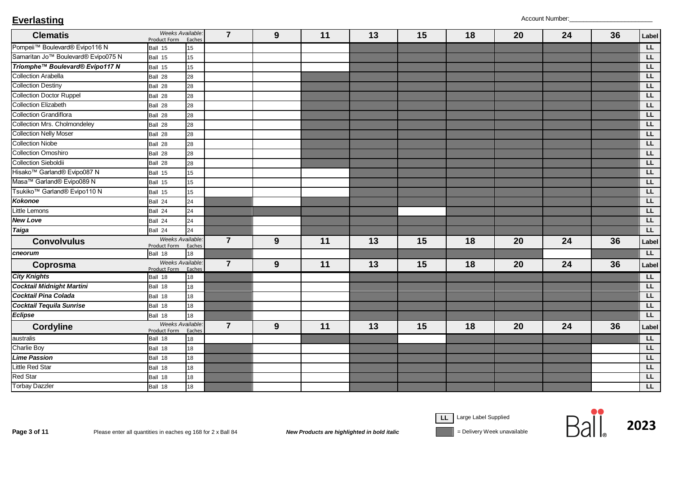| <b>Clematis</b>                                 | Weeks Available.<br>Product Form | Eaches           | $\overline{7}$ | 9 | 11 | 13 | 15 | 18 | 20 | 24 | 36 | Label                   |
|-------------------------------------------------|----------------------------------|------------------|----------------|---|----|----|----|----|----|----|----|-------------------------|
| Pompeii™ Boulevard® Evipo116 N                  | Ball 15                          | 15 <sup>15</sup> |                |   |    |    |    |    |    |    |    | E                       |
| Samaritan Jo <sup>™</sup> Boulevard® Evipo075 N | Ball 15                          | 15               |                |   |    |    |    |    |    |    |    | LL                      |
| Triomphe™ Boulevard® Evipo117 N                 | Ball 15                          | 15               |                |   |    |    |    |    |    |    |    | LL                      |
| <b>Collection Arabella</b>                      | Ball 28                          | 28               |                |   |    |    |    |    |    |    |    | LL                      |
| <b>Collection Destiny</b>                       | Ball 28                          | 28               |                |   |    |    |    |    |    |    |    | LL                      |
| <b>Collection Doctor Ruppel</b>                 | Ball 28                          | 28               |                |   |    |    |    |    |    |    |    | LL                      |
| <b>Collection Elizabeth</b>                     | Ball 28                          | 28               |                |   |    |    |    |    |    |    |    | LL                      |
| <b>Collection Grandiflora</b>                   | Ball 28                          | 28               |                |   |    |    |    |    |    |    |    | E                       |
| <b>Collection Mrs. Cholmondeley</b>             | Ball 28                          | 28               |                |   |    |    |    |    |    |    |    | EL                      |
| <b>Collection Nelly Moser</b>                   | Ball 28                          | 28               |                |   |    |    |    |    |    |    |    | LL                      |
| <b>Collection Niobe</b>                         | Ball 28                          | 28               |                |   |    |    |    |    |    |    |    | LL                      |
| <b>Collection Omoshiro</b>                      | Ball 28                          | 28               |                |   |    |    |    |    |    |    |    | EL                      |
| <b>Collection Sieboldii</b>                     | Ball 28                          | 28               |                |   |    |    |    |    |    |    |    | LL                      |
| Hisako <sup>™</sup> Garland® Evipo087 N         | Ball 15                          | 15               |                |   |    |    |    |    |    |    |    | LL                      |
| Masa™ Garland® Evipo089 N                       | Ball 15                          | 15 <sup>15</sup> |                |   |    |    |    |    |    |    |    | LL                      |
| Tsukiko <sup>™</sup> Garland® Evipo110 N        | Ball 15                          | 15 <sup>15</sup> |                |   |    |    |    |    |    |    |    | LL                      |
| <b>Kokonoe</b>                                  | Ball 24                          | 24               |                |   |    |    |    |    |    |    |    | LL                      |
| <b>Little Lemons</b>                            | Ball 24                          | 24               |                |   |    |    |    |    |    |    |    | LL                      |
| <b>New Love</b>                                 | Ball 24                          | 24               |                |   |    |    |    |    |    |    |    | LL                      |
| <b>Taiga</b>                                    | Ball 24                          | 24               |                |   |    |    |    |    |    |    |    | LL.                     |
| <b>Convolvulus</b>                              | Weeks Available.<br>Product Form | Eaches           | $\overline{7}$ | 9 | 11 | 13 | 15 | 18 | 20 | 24 | 36 | Label                   |
| cneorum                                         | Ball 18                          | 18               |                |   |    |    |    |    |    |    |    | L                       |
| Coprosma                                        | Weeks Available<br>Product Form  | Eaches           | $\overline{7}$ | 9 | 11 | 13 | 15 | 18 | 20 | 24 | 36 | Label                   |
| <b>City Knights</b>                             | Ball 18                          | 18               |                |   |    |    |    |    |    |    |    | E                       |
| <b>Cocktail Midnight Martini</b>                | Ball 18                          | 18               |                |   |    |    |    |    |    |    |    | L                       |
| <b>Cocktail Pina Colada</b>                     | Ball 18                          | 18               |                |   |    |    |    |    |    |    |    | E                       |
| <b>Cocktail Tequila Sunrise</b>                 | Ball 18                          | 18               |                |   |    |    |    |    |    |    |    | E                       |
| <b>Eclipse</b>                                  | Ball 18                          | 18               |                |   |    |    |    |    |    |    |    | LL                      |
| <b>Cordyline</b>                                | Weeks Available.<br>Product Form | Eaches           | $\overline{7}$ | 9 | 11 | 13 | 15 | 18 | 20 | 24 | 36 | Label                   |
| australis                                       | Ball 18                          | 18               |                |   |    |    |    |    |    |    |    | E                       |
| <b>Charlie Boy</b>                              | Ball 18                          | 18               |                |   |    |    |    |    |    |    |    | LL                      |
| <b>Lime Passion</b>                             | Ball 18                          | 18               |                |   |    |    |    |    |    |    |    | LL                      |
| Little Red Star                                 | Ball 18                          | 18               |                |   |    |    |    |    |    |    |    | LL                      |
| <b>Red Star</b>                                 | Ball 18                          | 18               |                |   |    |    |    |    |    |    |    | LL                      |
| <b>Torbay Dazzler</b>                           | Ball 18                          | 18               |                |   |    |    |    |    |    |    |    | $\overline{\mathsf{L}}$ |

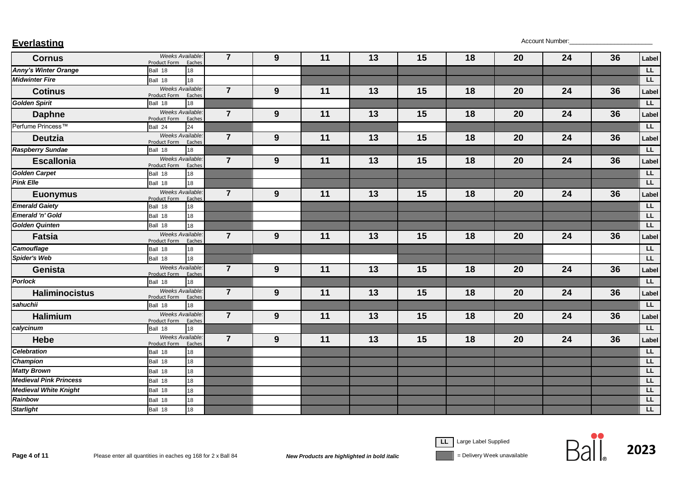| <b>Everlasting</b> | Account Number: |
|--------------------|-----------------|
|--------------------|-----------------|

| <b>Cornus</b>                 | Weeks Available:<br>Product Form Eaches |        | $\overline{7}$ | 9                | 11 | 13 | 15 | 18 | 20 | 24 | 36 | Label          |
|-------------------------------|-----------------------------------------|--------|----------------|------------------|----|----|----|----|----|----|----|----------------|
| <b>Anny's Winter Orange</b>   | Ball 18                                 | 18     |                |                  |    |    |    |    |    |    |    | LL.            |
| <b>Midwinter Fire</b>         | Ball 18                                 | 18     |                |                  |    |    |    |    |    |    |    | L              |
| <b>Cotinus</b>                | Weeks Available:<br>Product Form        | Eaches | $\overline{7}$ | 9                | 11 | 13 | 15 | 18 | 20 | 24 | 36 | Label          |
| <b>Golden Spirit</b>          | Ball 18                                 | 18     |                |                  |    |    |    |    |    |    |    | L              |
| <b>Daphne</b>                 | Weeks Available.<br>Product Form        | Eaches | $\overline{7}$ | $\boldsymbol{9}$ | 11 | 13 | 15 | 18 | 20 | 24 | 36 | Label          |
| Perfume Princess™             | Ball 24                                 | 24     |                |                  |    |    |    |    |    |    |    | L              |
| <b>Deutzia</b>                | Weeks Available:<br>Product Form        | Eaches | $\overline{7}$ | 9                | 11 | 13 | 15 | 18 | 20 | 24 | 36 | Label          |
| <b>Raspberry Sundae</b>       | Ball 18                                 | 18     |                |                  |    |    |    |    |    |    |    | L              |
| <b>Escallonia</b>             | Weeks Available:<br>Product Form        | Eaches | $\overline{7}$ | 9                | 11 | 13 | 15 | 18 | 20 | 24 | 36 | Label          |
| <b>Golden Carpet</b>          | Ball 18                                 | 18     |                |                  |    |    |    |    |    |    |    | LL.            |
| <b>Pink Elle</b>              | Ball 18                                 | 18     |                |                  |    |    |    |    |    |    |    | L              |
| <b>Euonymus</b>               | Weeks Available.<br>Product Form        | Eaches | $\overline{7}$ | 9                | 11 | 13 | 15 | 18 | 20 | 24 | 36 | Label          |
| <b>Emerald Gaiety</b>         | Ball 18                                 | 18     |                |                  |    |    |    |    |    |    |    | $\overline{L}$ |
| <b>Emerald 'n' Gold</b>       | Ball 18                                 | 18     |                |                  |    |    |    |    |    |    |    | L              |
| <b>Golden Quinten</b>         | Ball 18                                 | 18     |                |                  |    |    |    |    |    |    |    | L              |
| <b>Fatsia</b>                 | Weeks Available:<br>Product Form        | Eaches | $\overline{7}$ | 9                | 11 | 13 | 15 | 18 | 20 | 24 | 36 | Label          |
| <b>Camouflage</b>             | Ball 18                                 | 18     |                |                  |    |    |    |    |    |    |    | <b>LL</b>      |
| Spider's Web                  | Ball 18                                 | 18     |                |                  |    |    |    |    |    |    |    | LL.            |
| <b>Genista</b>                | Weeks Available.<br>Product Form        | Eaches | $\overline{7}$ | 9                | 11 | 13 | 15 | 18 | 20 | 24 | 36 | Label          |
| <b>Porlock</b>                | Ball 18                                 | 18     |                |                  |    |    |    |    |    |    |    | <b>LL</b>      |
| <b>Haliminocistus</b>         | Weeks Available:<br>Product Form        | Eaches | $\overline{7}$ | 9                | 11 | 13 | 15 | 18 | 20 | 24 | 36 | Label          |
| sahuchii                      | Ball 18                                 | 18     |                |                  |    |    |    |    |    |    |    | LL             |
| <b>Halimium</b>               | Weeks Available:<br>Product Form        | Eaches | $\overline{7}$ | 9                | 11 | 13 | 15 | 18 | 20 | 24 | 36 | Label          |
| calycinum                     | Ball 18                                 | 18     |                |                  |    |    |    |    |    |    |    | LL.            |
| <b>Hebe</b>                   | Weeks Available.<br>Product Form        | Eaches | $\overline{7}$ | 9                | 11 | 13 | 15 | 18 | 20 | 24 | 36 | Label          |
| <b>Celebration</b>            | Ball 18                                 | 18     |                |                  |    |    |    |    |    |    |    | $\overline{L}$ |
| Champion                      | Ball 18                                 | 18     |                |                  |    |    |    |    |    |    |    | LL.            |
| <b>Matty Brown</b>            | Ball 18                                 | 18     |                |                  |    |    |    |    |    |    |    | LL.            |
| <b>Medieval Pink Princess</b> | Ball 18                                 | 18     |                |                  |    |    |    |    |    |    |    | L              |
| <b>Medieval White Knight</b>  | Ball 18                                 | 18     |                |                  |    |    |    |    |    |    |    | LL.            |
| Rainbow                       | Ball 18                                 | 18     |                |                  |    |    |    |    |    |    |    | $\overline{L}$ |
| <b>Starlight</b>              | Ball 18                                 | 18     |                |                  |    |    |    |    |    |    |    | LL             |

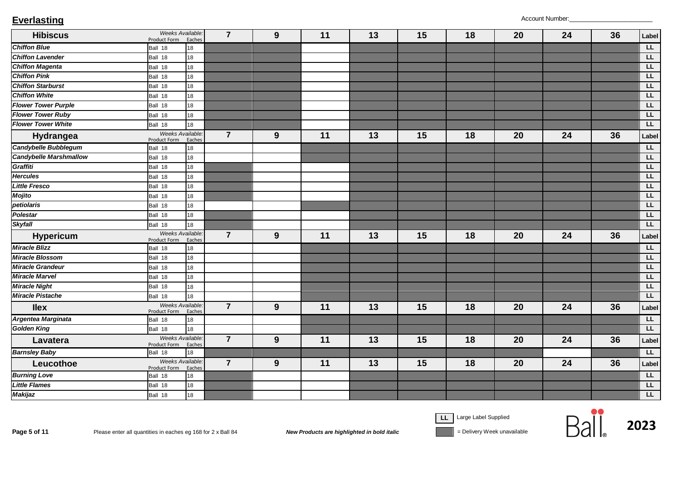| <b>Hibiscus</b>               | Weeks Available.<br>Product Form | Eaches | $\overline{7}$ | 9 | 11 | 13 | 15 | 18 | 20 | 24 | 36 | Label          |
|-------------------------------|----------------------------------|--------|----------------|---|----|----|----|----|----|----|----|----------------|
| <b>Chiffon Blue</b>           | Ball 18                          | 18     |                |   |    |    |    |    |    |    |    | L              |
| <b>Chiffon Lavender</b>       | Ball 18                          | 18     |                |   |    |    |    |    |    |    |    | LL.            |
| <b>Chiffon Magenta</b>        | Ball 18                          | 18     |                |   |    |    |    |    |    |    |    | L              |
| <b>Chiffon Pink</b>           | Ball 18                          | 18     |                |   |    |    |    |    |    |    |    | LL             |
| <b>Chiffon Starburst</b>      | Ball 18                          | 18     |                |   |    |    |    |    |    |    |    | L              |
| <b>Chiffon White</b>          | Ball 18                          | 18     |                |   |    |    |    |    |    |    |    | LL             |
| <b>Flower Tower Purple</b>    | Ball 18                          | 18     |                |   |    |    |    |    |    |    |    | L              |
| <b>Flower Tower Ruby</b>      | Ball 18                          | 18     |                |   |    |    |    |    |    |    |    | LL             |
| <b>Flower Tower White</b>     | Ball 18                          | 18     |                |   |    |    |    |    |    |    |    | LL             |
| Hydrangea                     | Weeks Available.<br>Product Form | Eaches | $\overline{7}$ | 9 | 11 | 13 | 15 | 18 | 20 | 24 | 36 | Label          |
| Candybelle Bubblegum          | Ball 18                          | 18     |                |   |    |    |    |    |    |    |    | LL             |
| <b>Candybelle Marshmallow</b> | Ball 18                          | 18     |                |   |    |    |    |    |    |    |    | EL             |
| Graffiti                      | Ball 18                          | 18     |                |   |    |    |    |    |    |    |    | L              |
| <b>Hercules</b>               | Ball 18                          | 18     |                |   |    |    |    |    |    |    |    | LL             |
| <b>Little Fresco</b>          | Ball 18                          | 18     |                |   |    |    |    |    |    |    |    | LL             |
| <b>Mojito</b>                 | Ball 18                          | 18     |                |   |    |    |    |    |    |    |    | E              |
| petiolaris                    | Ball 18                          | 18     |                |   |    |    |    |    |    |    |    | E              |
| <b>Polestar</b>               | Ball 18                          | 18     |                |   |    |    |    |    |    |    |    | L              |
| <b>Skyfall</b>                | Ball 18                          | 18     |                |   |    |    |    |    |    |    |    | L              |
| <b>Hypericum</b>              | Weeks Available.<br>Product Form | Eaches | $\overline{7}$ | 9 | 11 | 13 | 15 | 18 | 20 | 24 | 36 | Label          |
| <b>Miracle Blizz</b>          | Ball 18                          | 18     |                |   |    |    |    |    |    |    |    | $\overline{L}$ |
| <b>Miracle Blossom</b>        | Ball 18                          | 18     |                |   |    |    |    |    |    |    |    | L              |
| <b>Miracle Grandeur</b>       | Ball 18                          | 18     |                |   |    |    |    |    |    |    |    | E              |
| <b>Miracle Marvel</b>         | Ball 18                          | 18     |                |   |    |    |    |    |    |    |    | L              |
| <b>Miracle Night</b>          | Ball 18                          | 18     |                |   |    |    |    |    |    |    |    | L              |
| <b>Miracle Pistache</b>       | Ball 18                          | 18     |                |   |    |    |    |    |    |    |    | LL             |
| <b>llex</b>                   | Weeks Available.<br>Product Form | Eaches | $\overline{7}$ | 9 | 11 | 13 | 15 | 18 | 20 | 24 | 36 | Label          |
| Argentea Marginata            | Ball 18                          | 18     |                |   |    |    |    |    |    |    |    | L              |
| <b>Golden King</b>            | Ball 18                          | 18     |                |   |    |    |    |    |    |    |    | L              |
| Lavatera                      | Weeks Available.<br>Product Form | Eaches | $\overline{7}$ | 9 | 11 | 13 | 15 | 18 | 20 | 24 | 36 | Label          |
| <b>Barnsley Baby</b>          | Ball 18                          | 18     |                |   |    |    |    |    |    |    |    | L              |
| Leucothoe                     | Weeks Available.<br>Product Form | Eaches | $\overline{7}$ | 9 | 11 | 13 | 15 | 18 | 20 | 24 | 36 | Label          |
| <b>Burning Love</b>           | Ball 18                          | 18     |                |   |    |    |    |    |    |    |    | L              |
| <b>Little Flames</b>          | Ball 18                          | 18     |                |   |    |    |    |    |    |    |    | L              |
| <b>Makijaz</b>                | Ball 18                          | 18     |                |   |    |    |    |    |    |    |    | L              |

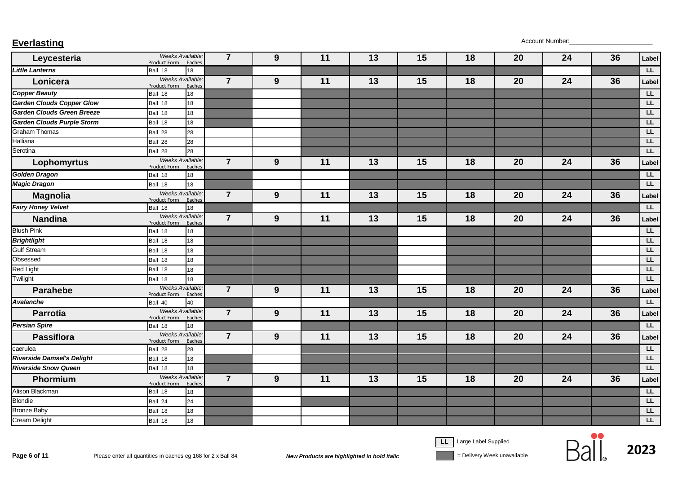| <b>Everlasting</b> | Account Number: |
|--------------------|-----------------|
|--------------------|-----------------|

| Leycesteria                       | Weeks Available.<br>Product Form | Eaches | $\overline{7}$ | 9 | 11 | 13 | 15 | 18 | 20 | 24 | 36 | Label                   |
|-----------------------------------|----------------------------------|--------|----------------|---|----|----|----|----|----|----|----|-------------------------|
| <b>Little Lanterns</b>            | Ball 18                          | 18     |                |   |    |    |    |    |    |    |    | LL.                     |
| Lonicera                          | Weeks Available.<br>Product Form | Eaches | $\overline{7}$ | 9 | 11 | 13 | 15 | 18 | 20 | 24 | 36 | Label                   |
| <b>Copper Beauty</b>              | Ball 18                          | 18     |                |   |    |    |    |    |    |    |    | L                       |
| <b>Garden Clouds Copper Glow</b>  | Ball 18                          | 18     |                |   |    |    |    |    |    |    |    | LL                      |
| <b>Garden Clouds Green Breeze</b> | Ball 18                          | 18     |                |   |    |    |    |    |    |    |    | LL                      |
| <b>Garden Clouds Purple Storm</b> | Ball 18                          | 18     |                |   |    |    |    |    |    |    |    | LL                      |
| <b>Graham Thomas</b>              | Ball 28                          | 28     |                |   |    |    |    |    |    |    |    | LL                      |
| Halliana                          | Ball 28                          | 28     |                |   |    |    |    |    |    |    |    | LL                      |
| Serotina                          | Ball 28                          | 28     |                |   |    |    |    |    |    |    |    | LL                      |
| Lophomyrtus                       | Weeks Available.<br>Product Form | Eaches | $\overline{7}$ | 9 | 11 | 13 | 15 | 18 | 20 | 24 | 36 | Label                   |
| Golden Dragon                     | Ball 18                          | 18     |                |   |    |    |    |    |    |    |    | $\overline{L}$          |
| <b>Magic Dragon</b>               | Ball 18                          | 18     |                |   |    |    |    |    |    |    |    | LL                      |
| <b>Magnolia</b>                   | Weeks Available.<br>Product Form | Eaches | $\overline{7}$ | 9 | 11 | 13 | 15 | 18 | 20 | 24 | 36 | Label                   |
| <b>Fairy Honey Velvet</b>         | Ball 18                          | 18     |                |   |    |    |    |    |    |    |    | L                       |
| <b>Nandina</b>                    | Weeks Available.<br>Product Form | Eaches | $\overline{7}$ | 9 | 11 | 13 | 15 | 18 | 20 | 24 | 36 | Label                   |
| <b>Blush Pink</b>                 | Ball 18                          | 18     |                |   |    |    |    |    |    |    |    | $\overline{L}$          |
| <b>Brightlight</b>                | Ball 18                          | 18     |                |   |    |    |    |    |    |    |    | LL                      |
| <b>Gulf Stream</b>                | Ball 18                          | 18     |                |   |    |    |    |    |    |    |    | LL                      |
| Obsessed                          | Ball 18                          | 18     |                |   |    |    |    |    |    |    |    | $\overline{\mathsf{L}}$ |
| Red Light                         | Ball 18                          | 18     |                |   |    |    |    |    |    |    |    | <b>LL</b>               |
| Twilight                          | Ball 18                          | 18     |                |   |    |    |    |    |    |    |    | LL                      |
| <b>Parahebe</b>                   | Weeks Available.<br>Product Form | Eaches | $\overline{7}$ | 9 | 11 | 13 | 15 | 18 | 20 | 24 | 36 | Label                   |
| <b>Avalanche</b>                  | Ball 40                          | 40     |                |   |    |    |    |    |    |    |    | L                       |
| <b>Parrotia</b>                   | Weeks Available<br>Product Form  | Eaches | $\overline{7}$ | 9 | 11 | 13 | 15 | 18 | 20 | 24 | 36 | Label                   |
| <b>Persian Spire</b>              | Ball 18                          | 18     |                |   |    |    |    |    |    |    |    | L                       |
| <b>Passiflora</b>                 | Weeks Available.<br>Product Form | Eaches | $\overline{7}$ | 9 | 11 | 13 | 15 | 18 | 20 | 24 | 36 | Label                   |
| caerulea                          | Ball 28                          | 28     |                |   |    |    |    |    |    |    |    | LL                      |
| <b>Riverside Damsel's Delight</b> | Ball 18                          | 18     |                |   |    |    |    |    |    |    |    | <b>LL</b>               |
| <b>Riverside Snow Queen</b>       | Ball 18                          | 18     |                |   |    |    |    |    |    |    |    | LL                      |
| Phormium                          | Weeks Available:<br>Product Form | Eaches | $\overline{7}$ | 9 | 11 | 13 | 15 | 18 | 20 | 24 | 36 | Label                   |
| Alison Blackman                   | Ball 18                          | 18     |                |   |    |    |    |    |    |    |    | LL                      |
| <b>Blondie</b>                    | Ball 24                          | 24     |                |   |    |    |    |    |    |    |    | LL                      |
| <b>Bronze Baby</b>                | Ball 18                          | 18     |                |   |    |    |    |    |    |    |    | LL                      |
| <b>Cream Delight</b>              | Ball 18                          | 18     |                |   |    |    |    |    |    |    |    | LL.                     |



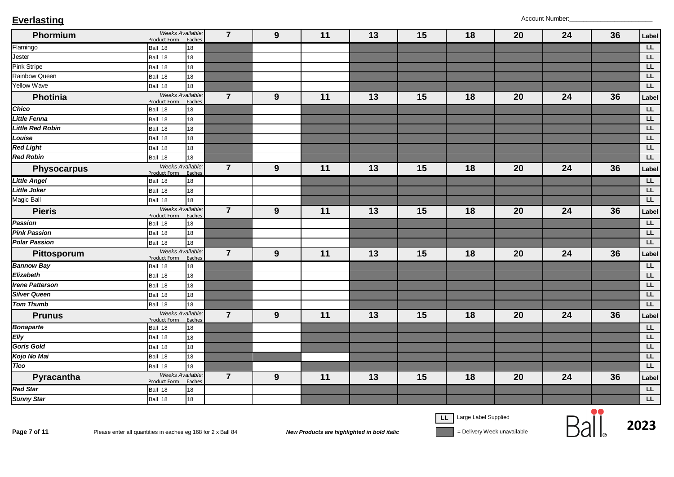| Phormium                | Weeks Available:<br>Product Form        | Eaches | $\overline{7}$ | 9 | $11$ | 13 | 15 | 18 | 20 | 24 | 36 | Label     |
|-------------------------|-----------------------------------------|--------|----------------|---|------|----|----|----|----|----|----|-----------|
| Flamingo                | Ball 18                                 | 18     |                |   |      |    |    |    |    |    |    | E         |
| Jester                  | Ball 18                                 | 18     |                |   |      |    |    |    |    |    |    | E         |
| <b>Pink Stripe</b>      | Ball 18                                 | 18     |                |   |      |    |    |    |    |    |    | LL        |
| <b>Rainbow Queen</b>    | Ball 18                                 | 18     |                |   |      |    |    |    |    |    |    | LL        |
| <b>Yellow Wave</b>      | Ball 18                                 | 18     |                |   |      |    |    |    |    |    |    | L         |
| <b>Photinia</b>         | Weeks Available<br>Product Form         | Eaches | $\overline{7}$ | 9 | 11   | 13 | 15 | 18 | 20 | 24 | 36 | Label     |
| Chico                   | Ball 18                                 | 18     |                |   |      |    |    |    |    |    |    | LL        |
| <b>Little Fenna</b>     | Ball 18                                 | 18     |                |   |      |    |    |    |    |    |    | L         |
| <b>Little Red Robin</b> | Ball 18                                 | 18     |                |   |      |    |    |    |    |    |    | LL        |
| Louise                  | Ball 18                                 | 18     |                |   |      |    |    |    |    |    |    | LL        |
| <b>Red Light</b>        | Ball 18                                 | 18     |                |   |      |    |    |    |    |    |    | LL        |
| <b>Red Robin</b>        | Ball 18                                 | 18     |                |   |      |    |    |    |    |    |    | LL        |
| <b>Physocarpus</b>      | Weeks Available.<br>Product Form        | Eaches | $\overline{7}$ | 9 | 11   | 13 | 15 | 18 | 20 | 24 | 36 | Label     |
| <b>Little Angel</b>     | Ball 18                                 | 18     |                |   |      |    |    |    |    |    |    | LL        |
| <b>Little Joker</b>     | Ball 18                                 | 18     |                |   |      |    |    |    |    |    |    | LL        |
| <b>Magic Ball</b>       | Ball 18                                 | 18     |                |   |      |    |    |    |    |    |    | LL        |
| <b>Pieris</b>           | Weeks Available<br>Product Form         | Eaches | $\overline{7}$ | 9 | 11   | 13 | 15 | 18 | 20 | 24 | 36 | Label     |
| Passion                 | Ball 18                                 | 18     |                |   |      |    |    |    |    |    |    | LL        |
| <b>Pink Passion</b>     | Ball 18                                 | 18     |                |   |      |    |    |    |    |    |    | E         |
| <b>Polar Passion</b>    | Ball 18                                 | 18     |                |   |      |    |    |    |    |    |    | LL        |
| Pittosporum             | Weeks Available.<br>Product Form        | Eaches | $\overline{7}$ | 9 | 11   | 13 | 15 | 18 | 20 | 24 | 36 | Label     |
| <b>Bannow Bay</b>       | Ball 18                                 | 18     |                |   |      |    |    |    |    |    |    | LL        |
| Elizabeth               | Ball 18                                 | 18     |                |   |      |    |    |    |    |    |    | LL        |
| <b>Irene Patterson</b>  | Ball 18                                 | 18     |                |   |      |    |    |    |    |    |    | LL        |
| <b>Silver Queen</b>     | Ball 18                                 | 18     |                |   |      |    |    |    |    |    |    | LL        |
| <b>Tom Thumb</b>        | Ball 18                                 | 18     |                |   |      |    |    |    |    |    |    | <b>LL</b> |
| <b>Prunus</b>           | Weeks Available:<br><b>Product Form</b> | Eaches | $\overline{7}$ | 9 | 11   | 13 | 15 | 18 | 20 | 24 | 36 | Label     |
| <b>Bonaparte</b>        | Ball 18                                 | 18     |                |   |      |    |    |    |    |    |    | LL        |
| Elly                    | Ball 18                                 | 18     |                |   |      |    |    |    |    |    |    | LL        |
| Goris Gold              | Ball 18                                 | 18     |                |   |      |    |    |    |    |    |    | LL        |
| Kojo No Mai             | Ball 18                                 | 18     |                |   |      |    |    |    |    |    |    | LL        |
| <b>Tico</b>             | Ball 18                                 | 18     |                |   |      |    |    |    |    |    |    | LL        |
| Pyracantha              | Weeks Available.<br>Product Form        | Eaches | $\overline{7}$ | 9 | 11   | 13 | 15 | 18 | 20 | 24 | 36 | Label     |
| <b>Red Star</b>         | Ball 18                                 | 18     |                |   |      |    |    |    |    |    |    | LL        |
| <b>Sunny Star</b>       | Ball 18                                 | 18     |                |   |      |    |    |    |    |    |    | <b>LL</b> |

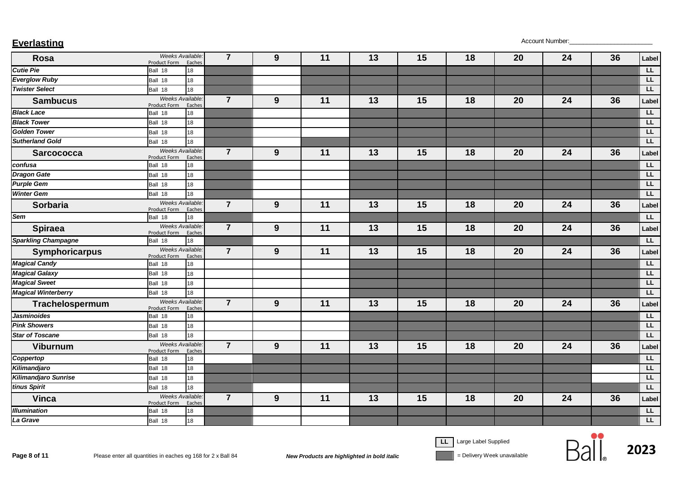| <b>Everlasting</b> | Account Number: |
|--------------------|-----------------|
|--------------------|-----------------|

| Rosa                       | Weeks Available:<br>Product Form        | Eaches | $\overline{7}$ | 9 | 11 | 13 | 15 | 18 | 20 | 24 | 36 | Label          |
|----------------------------|-----------------------------------------|--------|----------------|---|----|----|----|----|----|----|----|----------------|
| <b>Cutie Pie</b>           | Ball 18                                 | 18     |                |   |    |    |    |    |    |    |    | L              |
| <b>Everglow Ruby</b>       | Ball 18                                 | 18     |                |   |    |    |    |    |    |    |    | <b>LL</b>      |
| <b>Twister Select</b>      | Ball 18                                 | 18     |                |   |    |    |    |    |    |    |    | LL             |
| <b>Sambucus</b>            | Weeks Available.<br>Product Form        | Eaches | $\overline{7}$ | 9 | 11 | 13 | 15 | 18 | 20 | 24 | 36 | Label          |
| <b>Black Lace</b>          | Ball 18                                 | 18     |                |   |    |    |    |    |    |    |    | LL.            |
| <b>Black Tower</b>         | Ball 18                                 | 18     |                |   |    |    |    |    |    |    |    | EL             |
| <b>Golden Tower</b>        | Ball 18                                 | 18     |                |   |    |    |    |    |    |    |    | LL             |
| <b>Sutherland Gold</b>     | Ball 18                                 | 18     |                |   |    |    |    |    |    |    |    | E              |
| <b>Sarcococca</b>          | Weeks Available:<br><b>Product Form</b> | Eaches | $\overline{7}$ | 9 | 11 | 13 | 15 | 18 | 20 | 24 | 36 | Label          |
| confusa                    | Ball 18                                 | 18     |                |   |    |    |    |    |    |    |    | $\overline{L}$ |
| <b>Dragon Gate</b>         | Ball 18                                 | 18     |                |   |    |    |    |    |    |    |    | LL             |
| <b>Purple Gem</b>          | Ball 18                                 | 18     |                |   |    |    |    |    |    |    |    | LL             |
| <b>Winter Gem</b>          | Ball 18                                 | 18     |                |   |    |    |    |    |    |    |    | LL             |
| <b>Sorbaria</b>            | Weeks Available.<br>Product Form        | Eaches | $\overline{7}$ | 9 | 11 | 13 | 15 | 18 | 20 | 24 | 36 | Label          |
| Sem                        | Ball 18                                 | 18     |                |   |    |    |    |    |    |    |    | LL.            |
| <b>Spiraea</b>             | Weeks Available.<br>Product Form        | Eaches | $\overline{7}$ | 9 | 11 | 13 | 15 | 18 | 20 | 24 | 36 | Label          |
| <b>Sparkling Champagne</b> | Ball 18                                 | 18     |                |   |    |    |    |    |    |    |    | L              |
| Symphoricarpus             | Weeks Available.<br>Product Form        | Eaches | $\overline{7}$ | 9 | 11 | 13 | 15 | 18 | 20 | 24 | 36 | Label          |
| <b>Magical Candy</b>       | Ball 18                                 | 18     |                |   |    |    |    |    |    |    |    | L              |
| <b>Magical Galaxy</b>      | Ball 18                                 | 18     |                |   |    |    |    |    |    |    |    | LL             |
| <b>Magical Sweet</b>       | Ball 18                                 | 18     |                |   |    |    |    |    |    |    |    | LL             |
| <b>Magical Winterberry</b> | Ball 18                                 | 18     |                |   |    |    |    |    |    |    |    | LL             |
| Trachelospermum            | Weeks Available.<br><b>Product Form</b> | Eaches | $\overline{7}$ | 9 | 11 | 13 | 15 | 18 | 20 | 24 | 36 | Label          |
| <b>Jasminoides</b>         | Ball 18                                 | 18     |                |   |    |    |    |    |    |    |    | $\overline{L}$ |
| <b>Pink Showers</b>        | Ball 18                                 | 18     |                |   |    |    |    |    |    |    |    | LL             |
| <b>Star of Toscane</b>     | Ball 18                                 | 18     |                |   |    |    |    |    |    |    |    | LL             |
| <b>Viburnum</b>            | Weeks Available:<br><b>Product Form</b> | Eaches | $\overline{7}$ | 9 | 11 | 13 | 15 | 18 | 20 | 24 | 36 | Label          |
| Coppertop                  | Ball 18                                 | 18     |                |   |    |    |    |    |    |    |    | L              |
| Kilimandjaro               | Ball 18                                 | 18     |                |   |    |    |    |    |    |    |    | LL.            |
| Kilimandjaro Sunrise       | Ball 18                                 | 18     |                |   |    |    |    |    |    |    |    | <b>LL</b>      |
| tinus Spirit               | Ball 18                                 | 18     |                |   |    |    |    |    |    |    |    | LL.            |
| <b>Vinca</b>               | Weeks Available.<br><b>Product Form</b> | Eaches | $\overline{7}$ | 9 | 11 | 13 | 15 | 18 | 20 | 24 | 36 | Label          |
| <b>Illumination</b>        | Ball 18                                 | 18     |                |   |    |    |    |    |    |    |    | LL             |
| La Grave                   | Ball 18                                 | 18     |                |   |    |    |    |    |    |    |    | LL.            |

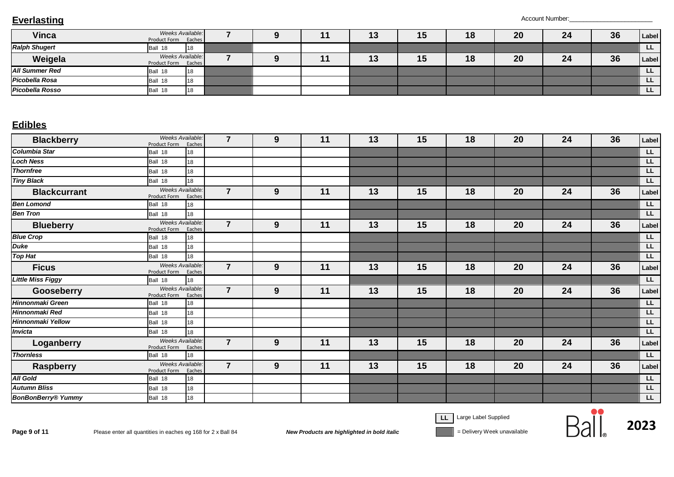| <b>Vinca</b>           | Weeks Available:<br>Eaches<br>Product Form |  | ıυ | 15 | 18 | 20 | 24 | 36 | Label     |
|------------------------|--------------------------------------------|--|----|----|----|----|----|----|-----------|
| <b>Ralph Shugert</b>   | 118<br>18<br>Ball                          |  |    |    |    |    |    |    | LL.       |
| Weigela                | Weeks Available:<br>Eaches<br>Product Form |  | ıυ | 15 | 18 | 20 | 24 | 36 | Label     |
| <b>All Summer Red</b>  | <b>1</b> 18<br>18<br>Ball                  |  |    |    |    |    |    |    | <b>LL</b> |
| Picobella Rosa         | 118<br>18<br>Ball                          |  |    |    |    |    |    |    | LL.       |
| <b>Picobella Rosso</b> | 18<br>Ball 18                              |  |    |    |    |    |    |    | <b>LL</b> |

### **Edibles**

| <b>Blackberry</b>         | Weeks Available:<br>Product Form Eaches |        | $\overline{7}$ | 9 | 11 | 13 | 15 | 18 | 20 | 24 | 36 | Label          |
|---------------------------|-----------------------------------------|--------|----------------|---|----|----|----|----|----|----|----|----------------|
| <b>Columbia Star</b>      | Ball 18                                 | 18     |                |   |    |    |    |    |    |    |    | $\overline{L}$ |
| <b>Loch Ness</b>          | Ball 18                                 | 18     |                |   |    |    |    |    |    |    |    | LL.            |
| <b>Thornfree</b>          | Ball 18                                 | 18     |                |   |    |    |    |    |    |    |    | F              |
| <b>Tiny Black</b>         | Ball 18                                 | 18     |                |   |    |    |    |    |    |    |    | <b>LL</b>      |
| <b>Blackcurrant</b>       | Weeks Available.<br>Product Form        | Eaches | $\overline{7}$ | 9 | 11 | 13 | 15 | 18 | 20 | 24 | 36 | Label          |
| <b>Ben Lomond</b>         | Ball 18                                 | 18     |                |   |    |    |    |    |    |    |    | F              |
| <b>Ben Tron</b>           | Ball 18                                 | 18     |                |   |    |    |    |    |    |    |    | LL.            |
| <b>Blueberry</b>          | Weeks Available:<br>Product Form        | Eaches | $\overline{7}$ | 9 | 11 | 13 | 15 | 18 | 20 | 24 | 36 | Label          |
| <b>Blue Crop</b>          | Ball 18                                 | 18     |                |   |    |    |    |    |    |    |    | LL.            |
| <b>Duke</b>               | Ball 18                                 | 18     |                |   |    |    |    |    |    |    |    | LL.            |
| <b>Top Hat</b>            | Ball 18                                 | 18     |                |   |    |    |    |    |    |    |    | <b>LL</b>      |
| <b>Ficus</b>              | Weeks Available:<br>Product Form Eaches |        | $\overline{7}$ | 9 | 11 | 13 | 15 | 18 | 20 | 24 | 36 | Label          |
| <b>Little Miss Figgy</b>  | Ball 18                                 | 18     |                |   |    |    |    |    |    |    |    | E              |
| Gooseberry                | Weeks Available:<br>Product Form        | Eaches | $\overline{7}$ | 9 | 11 | 13 | 15 | 18 | 20 | 24 | 36 | Label          |
| <b>Hinnonmaki Green</b>   | Ball 18                                 | 18     |                |   |    |    |    |    |    |    |    | <b>LL</b>      |
| Hinnonmaki Red            | Ball 18                                 | 18     |                |   |    |    |    |    |    |    |    | LL.            |
| Hinnonmaki Yellow         | Ball 18                                 | 18     |                |   |    |    |    |    |    |    |    | LL.            |
| <b>Invicta</b>            | Ball 18                                 | 18     |                |   |    |    |    |    |    |    |    | <b>LL</b>      |
| Loganberry                | Weeks Available.<br>Product Form        | Eaches | $\overline{7}$ | 9 | 11 | 13 | 15 | 18 | 20 | 24 | 36 | Label          |
| <b>Thornless</b>          | Ball 18                                 | 18     |                |   |    |    |    |    |    |    |    | <b>LL</b>      |
| <b>Raspberry</b>          | Weeks Available:<br>Product Form        | Eaches | $\overline{7}$ | 9 | 11 | 13 | 15 | 18 | 20 | 24 | 36 | Label          |
| <b>All Gold</b>           | Ball 18                                 | 18     |                |   |    |    |    |    |    |    |    | <b>LL</b>      |
| <b>Autumn Bliss</b>       | Ball 18                                 | 18     |                |   |    |    |    |    |    |    |    | LL.            |
| <b>BonBonBerry® Yummy</b> | Ball 18                                 | 18     |                |   |    |    |    |    |    |    |    | LL.            |

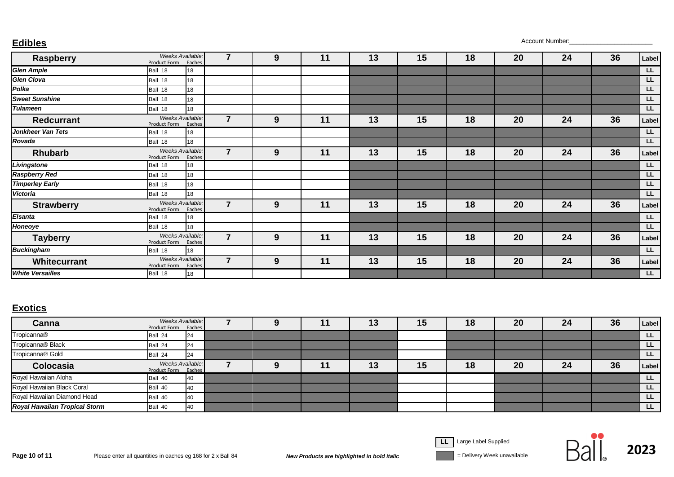**Edibles** Account Number:\_\_\_\_\_\_\_\_\_\_\_\_\_\_\_\_\_\_\_\_\_\_\_\_

| Raspberry               | Weeks Available:<br>Product Form | 7<br>Eaches              | 9   | 11 | 13 | 15 | 18 | 20 | 24 | 36 | Label          |
|-------------------------|----------------------------------|--------------------------|-----|----|----|----|----|----|----|----|----------------|
| <b>Glen Ample</b>       | Ball 18<br>18                    |                          |     |    |    |    |    |    |    |    | LL.            |
| <b>Glen Clova</b>       | 18<br>Ball 18                    |                          |     |    |    |    |    |    |    |    | LL             |
| Polka                   | 18<br>Ball 18                    |                          |     |    |    |    |    |    |    |    | <b>LL</b>      |
| <b>Sweet Sunshine</b>   | 18<br>Ball 18                    |                          |     |    |    |    |    |    |    |    | LL             |
| <b>Tulameen</b>         | Ball 18<br>18                    |                          |     |    |    |    |    |    |    |    | LL.            |
| <b>Redcurrant</b>       | Weeks Available:<br>Product Form | $\overline{7}$<br>Eaches | 9   | 11 | 13 | 15 | 18 | 20 | 24 | 36 | Label          |
| Jonkheer Van Tets       | Ball 18<br>18                    |                          |     |    |    |    |    |    |    |    | LL.            |
| Rovada                  | 18<br>Ball 18                    |                          |     |    |    |    |    |    |    |    | $\overline{L}$ |
| Rhubarb                 | Weeks Available:<br>Product Form | $\overline{7}$<br>Eaches | $9$ | 11 | 13 | 15 | 18 | 20 | 24 | 36 | Label          |
| Livingstone             | Ball 18<br>18                    |                          |     |    |    |    |    |    |    |    | LL.            |
| <b>Raspberry Red</b>    | 18<br>Ball 18                    |                          |     |    |    |    |    |    |    |    | LL             |
| <b>Timperley Early</b>  | 18<br>Ball 18                    |                          |     |    |    |    |    |    |    |    | LL.            |
| Victoria                | 18<br>Ball 18                    |                          |     |    |    |    |    |    |    |    | $\overline{L}$ |
| <b>Strawberry</b>       | Weeks Available:<br>Product Form | $\overline{7}$<br>Eaches | 9   | 11 | 13 | 15 | 18 | 20 | 24 | 36 | Label          |
| <b>Elsanta</b>          | Ball 18<br>18                    |                          |     |    |    |    |    |    |    |    | LL             |
| <b>Honeoye</b>          | 18<br>Ball 18                    |                          |     |    |    |    |    |    |    |    | <b>LL</b>      |
| <b>Tayberry</b>         | Weeks Available:<br>Product Form | $\overline{7}$<br>Eaches | 9   | 11 | 13 | 15 | 18 | 20 | 24 | 36 | Label          |
| <b>Buckingham</b>       | Ball 18<br>18                    |                          |     |    |    |    |    |    |    |    | E              |
| Whitecurrant            | Weeks Available:<br>Product Form | $\overline{7}$<br>Eaches | 9   | 11 | 13 | 15 | 18 | 20 | 24 | 36 | Label          |
| <b>White Versailles</b> | Ball 18<br>18                    |                          |     |    |    |    |    |    |    |    | LL.            |

### **Exotics**

| Canna                                | <b>Weeks Available:</b><br>Product Form Eaches |    |  | 11 | 13 | 15 | 18 | 20 | 24 | 36 | Label     |
|--------------------------------------|------------------------------------------------|----|--|----|----|----|----|----|----|----|-----------|
| Tropicanna®                          | Ball 24                                        | 24 |  |    |    |    |    |    |    |    | <b>LL</b> |
| Tropicanna <sup>®</sup> Black        | Ball 24                                        | 24 |  |    |    |    |    |    |    |    | LL.       |
| Tropicanna <sup>®</sup> Gold         | Ball 24                                        | 24 |  |    |    |    |    |    |    |    | LL.       |
| Colocasia                            | <b>Weeks Available:</b><br>Product Form Eaches |    |  | 11 | 13 | 15 | 18 | 20 | 24 | 36 | Label     |
| Royal Hawaiian Aloha                 | Ball 40                                        | 40 |  |    |    |    |    |    |    |    | LL.       |
| Royal Hawaiian Black Coral           | Ball 40                                        | 40 |  |    |    |    |    |    |    |    | <b>LL</b> |
| Royal Hawaiian Diamond Head          | Ball 40                                        | 40 |  |    |    |    |    |    |    |    | LL.       |
| <b>Royal Hawaiian Tropical Storm</b> | Ball 40                                        | 40 |  |    |    |    |    |    |    |    | LL.       |